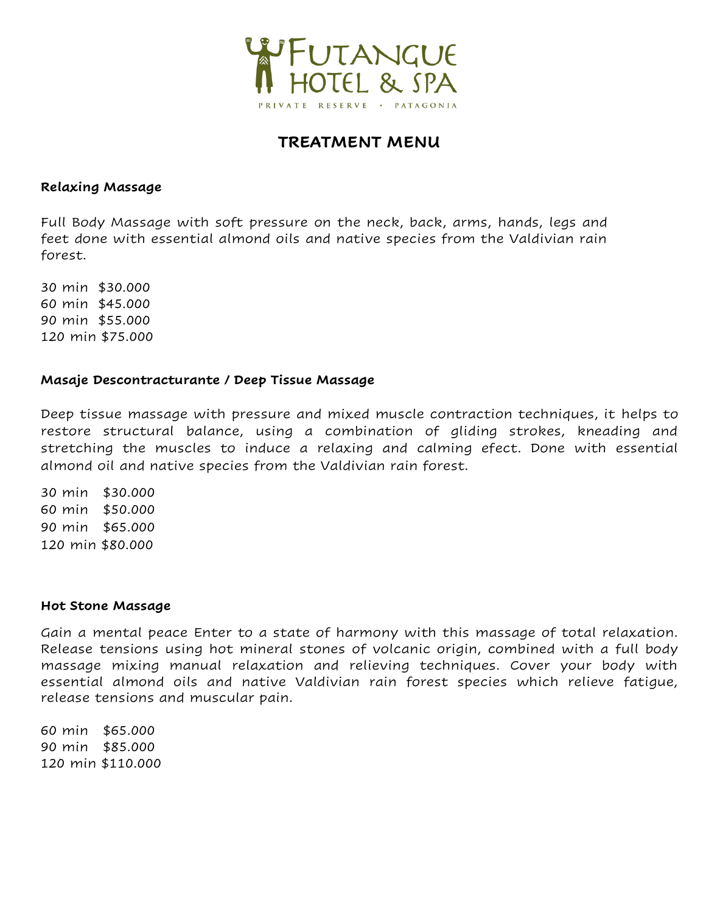

# **TREATMENT MENU**

#### **Relaxing Massage**

Full Body Massage with soft pressure on the neck, back, arms, hands, legs and feet done with essential almond oils and native species from the Valdivian rain forest.

 min \$30.000 min \$45.000 min \$55.000 120 min \$75.000

## **Masaje Descontracturante / Deep Tissue Massage**

Deep tissue massage with pressure and mixed muscle contraction techniques, it helps to restore structural balance, using a combination of gliding strokes, kneading and stretching the muscles to induce a relaxing and calming efect. Done with essential almond oil and native species from the Valdivian rain forest.

 min \$30.000 min \$50.000 min \$65.000 min \$80.000

#### **Hot Stone Massage**

Gain a mental peace Enter to a state of harmony with this massage of total relaxation. Release tensions using hot mineral stones of volcanic origin, combined with a full body massage mixing manual relaxation and relieving techniques. Cover your body with essential almond oils and native Valdivian rain forest species which relieve fatigue, release tensions and muscular pain.

60 min \$65.000 90 min \$85.000 120 min \$110.000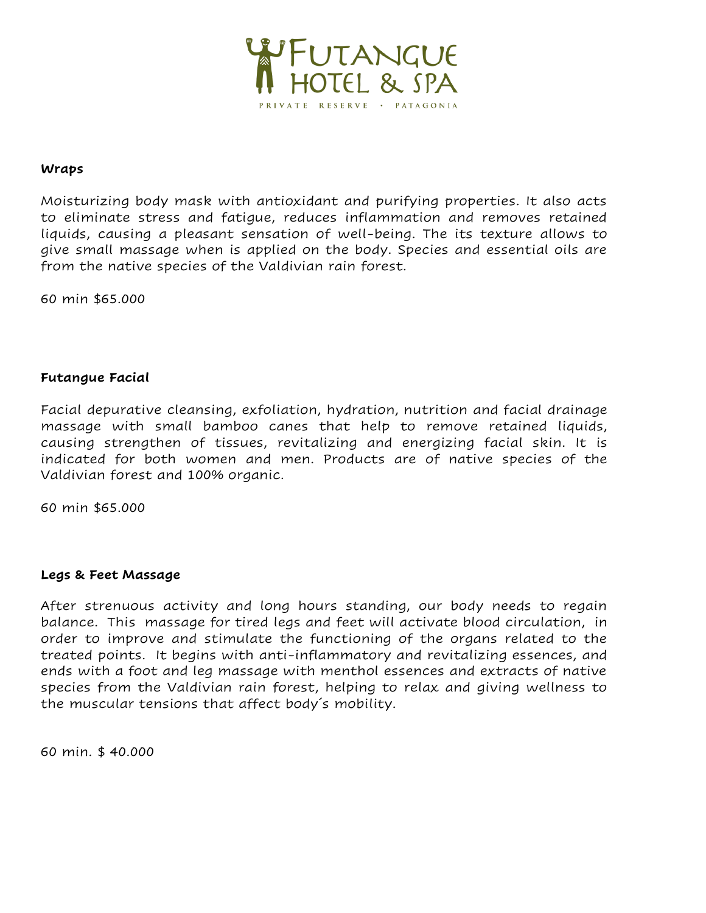

#### **Wraps**

Moisturizing body mask with antioxidant and purifying properties. It also acts to eliminate stress and fatigue, reduces inflammation and removes retained liquids, causing a pleasant sensation of well-being. The its texture allows to give small massage when is applied on the body. Species and essential oils are from the native species of the Valdivian rain forest.

60 min \$65.000

## **Futangue Facial**

Facial depurative cleansing, exfoliation, hydration, nutrition and facial drainage massage with small bamboo canes that help to remove retained liquids, causing strengthen of tissues, revitalizing and energizing facial skin. It is indicated for both women and men. Products are of native species of the Valdivian forest and 100% organic.

60 min \$65.000

#### **Legs & Feet Massage**

After strenuous activity and long hours standing, our body needs to regain balance. This massage [for](https://dictionary.cambridge.org/es/diccionario/ingles-espanol/for) [tired](https://dictionary.cambridge.org/es/diccionario/ingles-espanol/tired) legs [and](https://dictionary.cambridge.org/es/diccionario/ingles-espanol/and) [feet](https://dictionary.cambridge.org/es/diccionario/ingles-espanol/feet) [will](https://dictionary.cambridge.org/es/diccionario/ingles-espanol/will) [activate](https://dictionary.cambridge.org/es/diccionario/ingles-espanol/activate) [blood](https://dictionary.cambridge.org/es/diccionario/ingles-espanol/blood) [circulation,](https://dictionary.cambridge.org/es/diccionario/ingles-espanol/circulation) in order to improve and stimulate the functioning of the organs related to the treated points. It begins with anti-inflammatory and revitalizing essences, and ends with a foot and leg massage with menthol essences and extracts of native species from the Valdivian rain forest, helping to relax and giving wellness to the muscular tensions that affect body´s mobility.

60 min. \$ 40.000